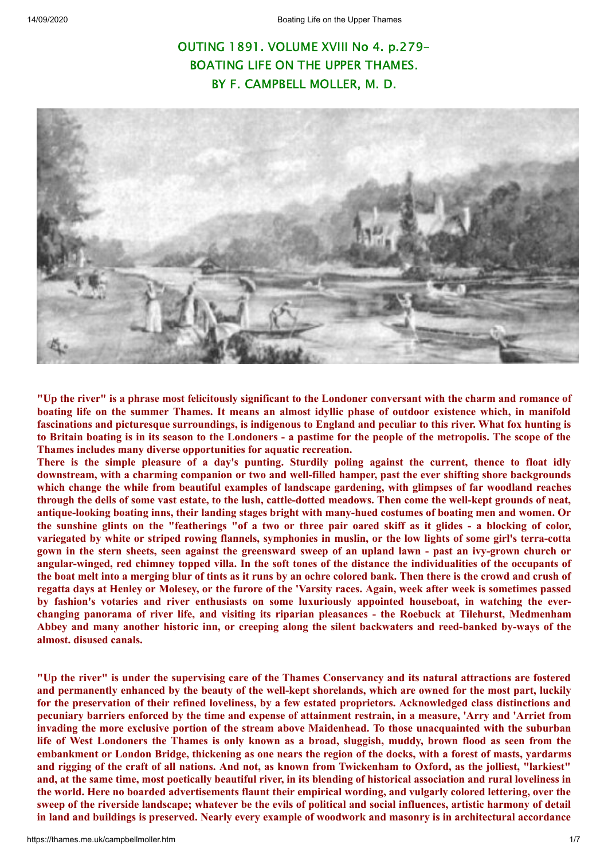# OUTING 1891. VOLUME XVIII No 4. p.279- BOATING LIFE ON THE UPPER THAMES. BY F. CAMPBELL MOLLER, M. D.



"Up the river" is a phrase most felicitously significant to the Londoner conversant with the charm and romance of boating life on the summer Thames. It means an almost idyllic phase of outdoor existence which, in manifold fascinations and picturesque surroundings, is indigenous to England and peculiar to this river. What fox hunting is to Britain boating is in its season to the Londoners - a pastime for the people of the metropolis. The scope of the **Thames includes many diverse opportunities for aquatic recreation.**

There is the simple pleasure of a day's punting. Sturdily poling against the current, thence to float idly **downstream, with a charming companion or two and well-filled hamper, past the ever shifting shore backgrounds which change the while from beautiful examples of landscape gardening, with glimpses of far woodland reaches** through the dells of some vast estate, to the lush, cattle-dotted meadows. Then come the well-kept grounds of neat, **antique-looking boating inns, their landing stages bright with many-hued costumes of boating men and women. Or** the sunshine glints on the "featherings "of a two or three pair oared skiff as it glides - a blocking of color, variegated by white or striped rowing flannels, symphonies in muslin, or the low lights of some girl's terra-cotta gown in the stern sheets, seen against the greensward sweep of an upland lawn - past an ivy-grown church or angular-winged, red chimney topped villa. In the soft tones of the distance the individualities of the occupants of the boat melt into a merging blur of tints as it runs by an ochre colored bank. Then there is the crowd and crush of regatta days at Henley or Molesey, or the furore of the 'Varsity races. Again, week after week is sometimes passed **by fashion's votaries and river enthusiasts on some luxuriously appointed houseboat, in watching the everchanging panorama of river life, and visiting its riparian pleasances - the Roebuck at Tilehurst, Medmenham** Abbey and many another historic inn, or creeping along the silent backwaters and reed-banked by-ways of the **almost. disused canals.**

"Up the river" is under the supervising care of the Thames Conservancy and its natural attractions are fostered and permanently enhanced by the beauty of the well-kept shorelands, which are owned for the most part, luckily for the preservation of their refined loveliness, by a few estated proprietors. Acknowledged class distinctions and pecuniary barriers enforced by the time and expense of attainment restrain, in a measure, 'Arry and 'Arriet from **invading the more exclusive portion of the stream above Maidenhead. To those unacquainted with the suburban** life of West Londoners the Thames is only known as a broad, sluggish, muddy, brown flood as seen from the embankment or London Bridge, thickening as one nears the region of the docks, with a forest of masts, yardarms and rigging of the craft of all nations. And not, as known from Twickenham to Oxford, as the jolliest, "larkiest" and, at the same time, most poetically beautiful river, in its blending of historical association and rural loveliness in the world. Here no boarded advertisements flaunt their empirical wording, and vulgarly colored lettering, over the sweep of the riverside landscape; whatever be the evils of political and social influences, artistic harmony of detail in land and buildings is preserved. Nearly every example of woodwork and masonry is in architectural accordance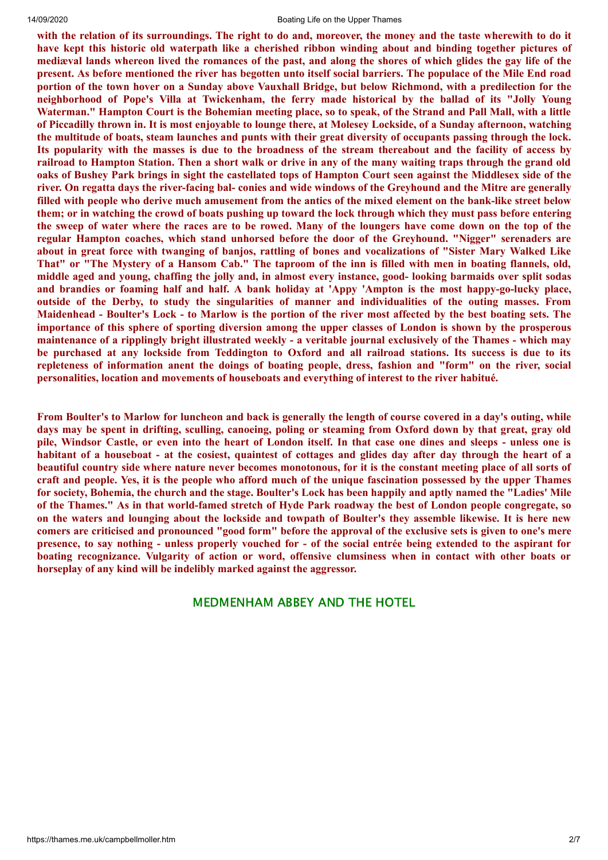### 14/09/2020 Boating Life on the Upper Thames

with the relation of its surroundings. The right to do and, moreover, the money and the taste wherewith to do it have kept this historic old waterpath like a cherished ribbon winding about and binding together pictures of mediaval lands whereon lived the romances of the past, and along the shores of which glides the gay life of the present. As before mentioned the river has begotten unto itself social barriers. The populace of the Mile End road portion of the town hover on a Sunday above Vauxhall Bridge, but below Richmond, with a predilection for the **neighborhood of Pope's Villa at Twickenham, the ferry made historical by the ballad of its "Jolly Young** Waterman." Hampton Court is the Bohemian meeting place, so to speak, of the Strand and Pall Mall, with a little of Piccadilly thrown in. It is most enjoyable to lounge there, at Molesey Lockside, of a Sunday afternoon, watching the multitude of boats, steam launches and punts with their great diversity of occupants passing through the lock. Its popularity with the masses is due to the broadness of the stream thereabout and the facility of access by railroad to Hampton Station. Then a short walk or drive in any of the many waiting traps through the grand old oaks of Bushev Park brings in sight the castellated tops of Hampton Court seen against the Middlesex side of the river. On regatta days the river-facing bal- conies and wide windows of the Greyhound and the Mitre are generally filled with people who derive much amusement from the antics of the mixed element on the bank-like street below them; or in watching the crowd of boats pushing up toward the lock through which they must pass before entering the sweep of water where the races are to be rowed. Many of the loungers have come down on the top of the **regular Hampton coaches, which stand unhorsed before the door of the Greyhound. "Nigger" serenaders are** about in great force with twanging of banjos, rattling of bones and vocalizations of "Sister Mary Walked Like That" or "The Mystery of a Hansom Cab." The taproom of the inn is filled with men in boating flannels, old, middle aged and young, chaffing the jolly and, in almost every instance, good-looking barmaids over split sodas and brandies or foaming half and half. A bank holiday at 'Appy 'Ampton is the most happy-go-lucky place, **outside of the Derby, to study the singularities of manner and individualities of the outing masses. From** Maidenhead - Boulter's Lock - to Marlow is the portion of the river most affected by the best boating sets. The importance of this sphere of sporting diversion among the upper classes of London is shown by the prosperous maintenance of a ripplingly bright illustrated weekly - a veritable journal exclusively of the Thames - which may be purchased at any lockside from Teddington to Oxford and all railroad stations. Its success is due to its repleteness of information anent the doings of boating people, dress, fashion and "form" on the river, social **personalities, location and movements of houseboats and everything of interest to the river habitué.**

From Boulter's to Marlow for luncheon and back is generally the length of course covered in a day's outing, while days may be spent in drifting, sculling, canoeing, poling or steaming from Oxford down by that great, gray old pile, Windsor Castle, or even into the heart of London itself. In that case one dines and sleeps - unless one is habitant of a houseboat - at the cosiest, quaintest of cottages and glides day after day through the heart of a beautiful country side where nature never becomes monotonous, for it is the constant meeting place of all sorts of craft and people. Yes, it is the people who afford much of the unique fascination possessed by the upper Thames for society, Bohemia, the church and the stage. Boulter's Lock has been happily and aptly named the "Ladies' Mile of the Thames." As in that world-famed stretch of Hyde Park roadway the best of London people congregate, so on the waters and lounging about the lockside and towpath of Boulter's they assemble likewise. It is here new comers are criticised and pronounced "good form" before the approval of the exclusive sets is given to one's mere presence, to say nothing - unless properly vouched for - of the social entrée being extended to the aspirant for **boating recognizance. Vulgarity of action or word, offensive clumsiness when in contact with other boats or horseplay of any kind will be indelibly marked against the aggressor.**

## MEDMENHAM ABBEY AND THE HOTEL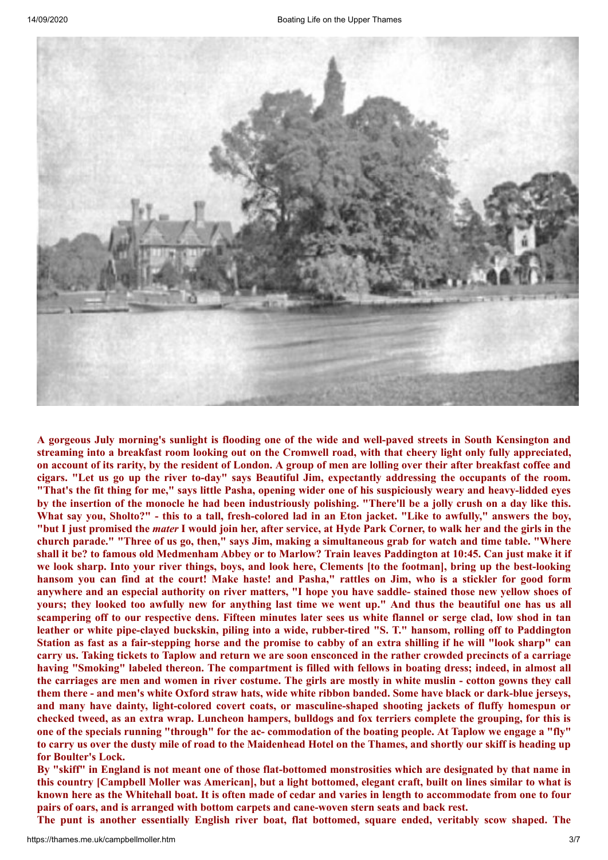

A gorgeous July morning's sunlight is flooding one of the wide and well-paved streets in South Kensington and streaming into a breakfast room looking out on the Cromwell road, with that cheery light only fully appreciated, on account of its rarity, by the resident of London. A group of men are lolling over their after breakfast coffee and cigars. "Let us go up the river to-day" says Beautiful Jim, expectantly addressing the occupants of the room. "That's the fit thing for me," says little Pasha, opening wider one of his suspiciously weary and heavy-lidded eyes by the insertion of the monocle he had been industriously polishing. "There'll be a jolly crush on a day like this. What say you, Sholto?" - this to a tall, fresh-colored lad in an Eton jacket. "Like to awfully," answers the boy, "but I just promised the *mater* I would join her, after service, at Hyde Park Corner, to walk her and the girls in the church parade." "Three of us go, then," says Jim, making a simultaneous grab for watch and time table. "Where shall it be? to famous old Medmenham Abbey or to Marlow? Train leaves Paddington at 10:45. Can just make it if we look sharp. Into your river things, boys, and look here, Clements [to the footman], bring up the best-looking hansom you can find at the court! Make haste! and Pasha," rattles on Jim, who is a stickler for good form anywhere and an especial authority on river matters, "I hope you have saddle- stained those new yellow shoes of yours; they looked too awfully new for anything last time we went up." And thus the beautiful one has us all scampering off to our respective dens. Fifteen minutes later sees us white flannel or serge clad, low shod in tan leather or white pipe-claved buckskin, piling into a wide, rubber-tired "S. T." hansom, rolling off to Paddington Station as fast as a fair-stepping horse and the promise to cabby of an extra shilling if he will "look sharp" can carry us. Taking tickets to Taplow and return we are soon ensconced in the rather crowded precincts of a carriage having "Smoking" labeled thereon. The compartment is filled with fellows in boating dress; indeed, in almost all the carriages are men and women in river costume. The girls are mostly in white muslin - cotton gowns they call them there - and men's white Oxford straw hats, wide white ribbon banded. Some have black or dark-blue jerseys, **and many have dainty, light-colored covert coats, or masculine-shaped shooting jackets of fluffy homespun or** checked tweed, as an extra wrap. Luncheon hampers, bulldogs and fox terriers complete the grouping, for this is one of the specials running "through" for the ac- commodation of the boating people. At Taplow we engage a "fly" to carry us over the dusty mile of road to the Maidenhead Hotel on the Thames, and shortly our skiff is heading up **for Boulter's Lock.**

By "skiff" in England is not meant one of those flat-bottomed monstrosities which are designated by that name in this country [Campbell Moller was American], but a light bottomed, elegant craft, built on lines similar to what is known here as the Whitehall boat. It is often made of cedar and varies in length to accommodate from one to four **pairs of oars, and is arranged with bottom carpets and cane-woven stern seats and back rest.**

**The punt is another essentially English river boat, flat bottomed, square ended, veritably scow shaped. The**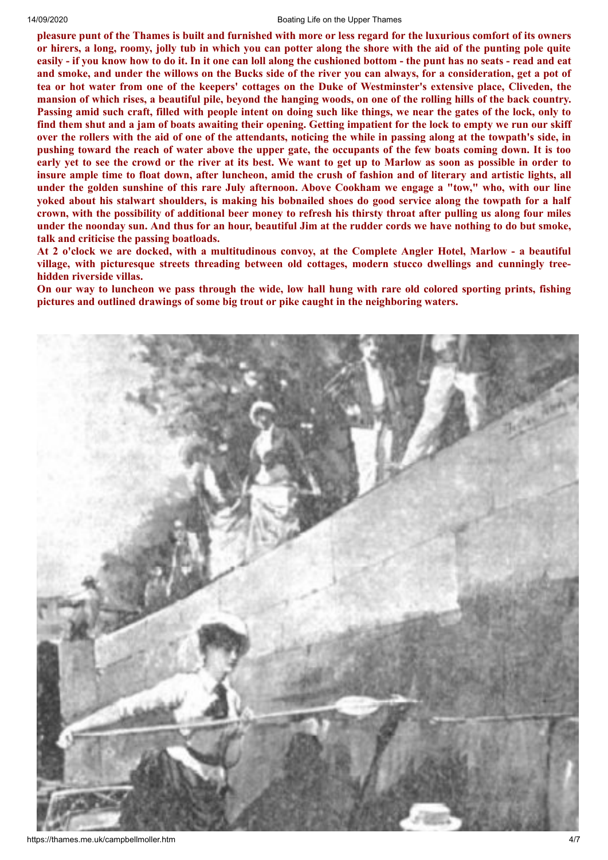#### 14/09/2020 Boating Life on the Upper Thames

pleasure punt of the Thames is built and furnished with more or less regard for the luxurious comfort of its owners or hirers, a long, roomy, jolly tub in which you can potter along the shore with the aid of the punting pole quite easily - if you know how to do it. In it one can loll along the cushioned bottom - the punt has no seats - read and eat and smoke, and under the willows on the Bucks side of the river you can always, for a consideration, get a pot of tea or hot water from one of the keepers' cottages on the Duke of Westminster's extensive place, Cliveden, the mansion of which rises, a beautiful pile, beyond the hanging woods, on one of the rolling hills of the back country. Passing amid such craft, filled with people intent on doing such like things, we near the gates of the lock, only to find them shut and a jam of boats awaiting their opening. Getting impatient for the lock to empty we run our skiff over the rollers with the aid of one of the attendants, noticing the while in passing along at the towpath's side, in pushing toward the reach of water above the upper gate, the occupants of the few boats coming down. It is too early yet to see the crowd or the river at its best. We want to get up to Marlow as soon as possible in order to insure ample time to float down, after luncheon, amid the crush of fashion and of literary and artistic lights, all under the golden sunshine of this rare July afternoon. Above Cookham we engage a "tow," who, with our line yoked about his stalwart shoulders, is making his bobnailed shoes do good service along the towpath for a half crown, with the possibility of additional beer money to refresh his thirsty throat after pulling us along four miles under the noonday sun. And thus for an hour, beautiful Jim at the rudder cords we have nothing to do but smoke, **talk and criticise the passing boatloads.**

At 2 o'clock we are docked, with a multitudinous convoy, at the Complete Angler Hotel, Marlow - a beautiful **village, with picturesque streets threading between old cottages, modern stucco dwellings and cunningly treehidden riverside villas.**

On our way to luncheon we pass through the wide, low hall hung with rare old colored sporting prints, fishing **pictures and outlined drawings of some big trout or pike caught in the neighboring waters.**

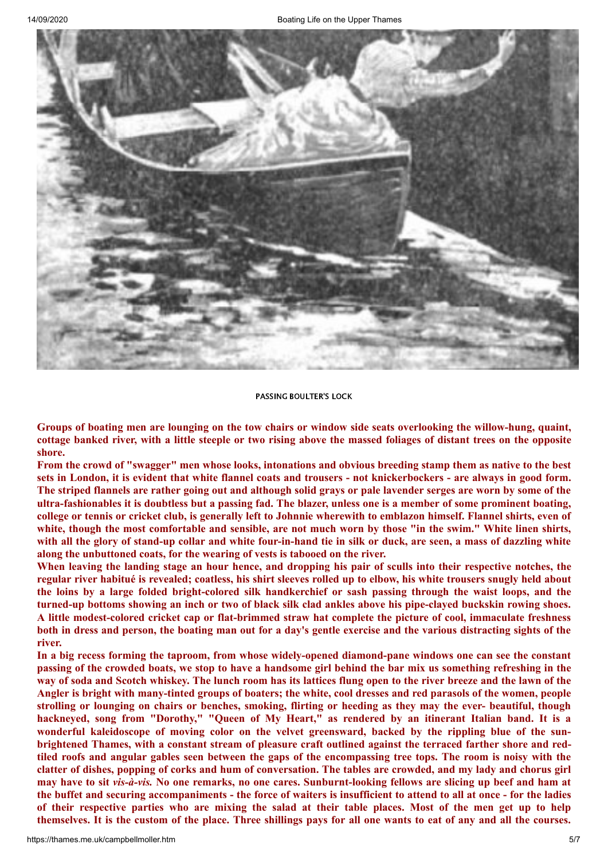

### PASSING BOULTER'S LOCK

Groups of boating men are lounging on the tow chairs or window side seats overlooking the willow-hung, quaint, cottage banked river, with a little steeple or two rising above the massed foliages of distant trees on the opposite **shore.**

From the crowd of "swagger" men whose looks, intonations and obvious breeding stamp them as native to the best sets in London, it is evident that white flannel coats and trousers - not knickerbockers - are always in good form. The striped flannels are rather going out and although solid grays or pale lavender serges are worn by some of the ultra-fashionables it is doubtless but a passing fad. The blazer, unless one is a member of some prominent boating, college or tennis or cricket club, is generally left to Johnnie wherewith to emblazon himself. Flannel shirts, even of white, though the most comfortable and sensible, are not much worn by those "in the swim." White linen shirts, with all the glory of stand-up collar and white four-in-hand tie in silk or duck, are seen, a mass of dazzling white **along the unbuttoned coats, for the wearing of vests is tabooed on the river.**

When leaving the landing stage an hour hence, and dropping his pair of sculls into their respective notches, the regular river habitué is revealed; coatless, his shirt sleeves rolled up to elbow, his white trousers snugly held about the loins by a large folded bright-colored silk handkerchief or sash passing through the waist loops, and the turned-up bottoms showing an inch or two of black silk clad ankles above his pipe-claved buckskin rowing shoes. **A little modest-colored cricket cap or flat-brimmed straw hat complete the picture of cool, immaculate freshness** both in dress and person, the boating man out for a day's gentle exercise and the various distracting sights of the **river.**

In a big recess forming the taproom, from whose widely-opened diamond-pane windows one can see the constant passing of the crowded boats, we stop to have a handsome girl behind the bar mix us something refreshing in the way of soda and Scotch whiskey. The lunch room has its lattices flung open to the river breeze and the lawn of the Angler is bright with many-tinted groups of boaters; the white, cool dresses and red parasols of the women, people strolling or lounging on chairs or benches, smoking, flirting or heeding as they may the ever- beautiful, though hackneyed, song from "Dorothy," "Queen of My Heart," as rendered by an itinerant Italian band. It is a **wonderful kaleidoscope of moving color on the velvet greensward, backed by the rippling blue of the sun**brightened Thames, with a constant stream of pleasure craft outlined against the terraced farther shore and redtiled roofs and angular gables seen between the gaps of the encompassing tree tops. The room is noisy with the clatter of dishes, popping of corks and hum of conversation. The tables are crowded, and my lady and chorus girl may have to sit vis-à-vis. No one remarks, no one cares. Sunburnt-looking fellows are slicing up beef and ham at the buffet and securing accompaniments - the force of waiters is insufficient to attend to all at once - for the ladies of their respective parties who are mixing the salad at their table places. Most of the men get up to help themselves. It is the custom of the place. Three shillings pays for all one wants to eat of any and all the courses.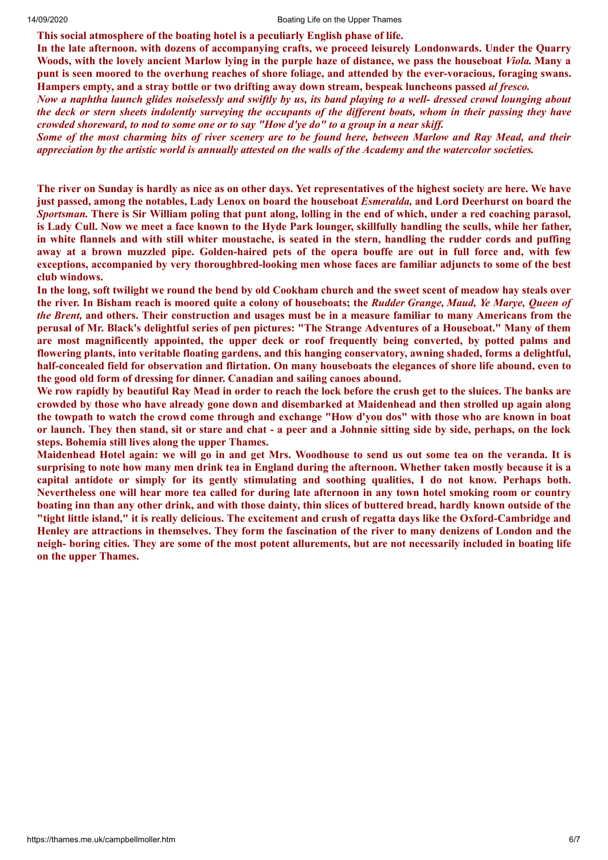**This social atmosphere of the boating hotel is a peculiarly English phase of life.**

**In the late afternoon. with dozens of accompanying crafts, we proceed leisurely Londonwards. Under the Quarry** Woods, with the lovely ancient Marlow lying in the purple haze of distance, we pass the houseboat Viola. Many a punt is seen moored to the overhung reaches of shore foliage, and attended by the ever-voracious, foraging swans. **Hampers empty, and a stray bottle or two drifting away down stream, bespeak luncheons passed** *al fresco.*

Now a naphtha launch glides noiselessly and swiftly by us, its band playing to a well- dressed crowd lounging about the deck or stern sheets indolently surveying the occupants of the different boats, whom in their passing they have crowded shoreward, to nod to some one or to say "How d'ye do" to a group in a near skiff.

Some of the most charming bits of river scenery are to be found here, between Marlow and Ray Mead, and their appreciation by the artistic world is annually attested on the walls of the Academy and the watercolor societies.

The river on Sunday is hardly as nice as on other days. Yet representatives of the highest society are here. We have just passed, among the notables, Lady Lenox on board the houseboat *Esmeralda*, and Lord Deerhurst on board the Sportsman. There is Sir William poling that punt along, lolling in the end of which, under a red coaching parasol, is Lady Cull. Now we meet a face known to the Hyde Park lounger, skillfully handling the sculls, while her father, in white flannels and with still whiter moustache, is seated in the stern, handling the rudder cords and puffing away at a brown muzzled pipe. Golden-haired pets of the opera bouffe are out in full force and, with few **exceptions, accompanied by very thoroughbred-looking men whose faces are familiar adjuncts to some of the best club windows.**

In the long, soft twilight we round the bend by old Cookham church and the sweet scent of meadow hay steals over the river. In Bisham reach is moored quite a colony of houseboats; the Rudder Grange, Maud, Ye Marye, Oueen of *the Brent*, and others. Their construction and usages must be in a measure familiar to many Americans from the perusal of Mr. Black's delightful series of pen pictures: "The Strange Adventures of a Houseboat." Many of them **are most magnificently appointed, the upper deck or roof frequently being converted, by potted palms and flowering plants, into veritable floating gardens, and this hanging conservatory, awning shaded, forms a delightful,** half-concealed field for observation and flirtation. On many houseboats the elegances of shore life abound, even to **the good old form of dressing for dinner. Canadian and sailing canoes abound.**

We row rapidly by beautiful Ray Mead in order to reach the lock before the crush get to the sluices. The banks are crowded by those who have already gone down and disembarked at Maidenhead and then strolled up again along the towpath to watch the crowd come through and exchange "How d'you dos" with those who are known in boat or launch. They then stand, sit or stare and chat - a peer and a Johnnie sitting side by side, perhaps, on the lock **steps. Bohemia still lives along the upper Thames.**

Maidenhead Hotel again: we will go in and get Mrs. Woodhouse to send us out some tea on the veranda. It is surprising to note how many men drink tea in England during the afternoon. Whether taken mostly because it is a capital antidote or simply for its gently stimulating and soothing qualities, I do not know. Perhaps both. Nevertheless one will hear more tea called for during late afternoon in any town hotel smoking room or country boating inn than any other drink, and with those dainty, thin slices of buttered bread, hardly known outside of the "tight little island," it is really delicious. The excitement and crush of regatta days like the Oxford-Cambridge and Henley are attractions in themselves. They form the fascination of the river to many denizens of London and the neigh- boring cities. They are some of the most potent allurements, but are not necessarily included in boating life **on the upper Thames.**